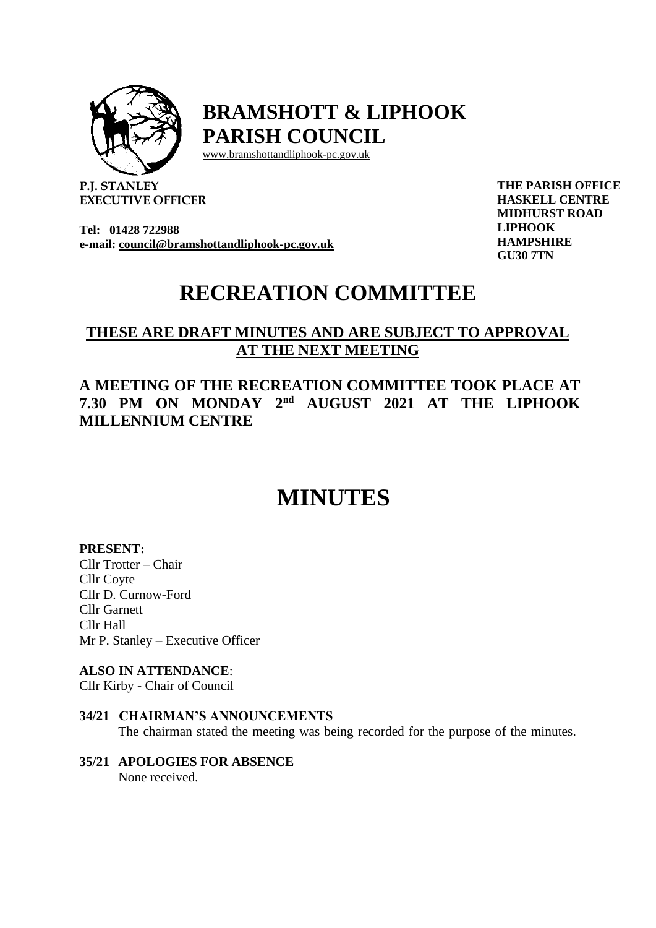

## **BRAMSHOTT & LIPHOOK PARISH COUNCIL**

[www.bramshottandl](http://www.bramshottand/)iphook-pc.gov.uk

**P.J. STANLEY EXECUTIVE OFFICER**

**Tel: 01428 722988 e-mail: [council@bramshottandliphook-pc.gov.uk](mailto:council@bramshottandliphook-pc.gov.uk)** **THE PARISH OFFICE HASKELL CENTRE MIDHURST ROAD LIPHOOK HAMPSHIRE GU30 7TN**

## **RECREATION COMMITTEE**

### **THESE ARE DRAFT MINUTES AND ARE SUBJECT TO APPROVAL AT THE NEXT MEETING**

### **A MEETING OF THE RECREATION COMMITTEE TOOK PLACE AT 7.30 PM ON MONDAY 2 nd AUGUST 2021 AT THE LIPHOOK MILLENNIUM CENTRE**

# **MINUTES**

#### **PRESENT:**

Cllr Trotter – Chair Cllr Coyte Cllr D. Curnow-Ford Cllr Garnett Cllr Hall Mr P. Stanley – Executive Officer

#### **ALSO IN ATTENDANCE**:

Cllr Kirby - Chair of Council

#### **34/21 CHAIRMAN'S ANNOUNCEMENTS**

The chairman stated the meeting was being recorded for the purpose of the minutes.

#### **35/21 APOLOGIES FOR ABSENCE**  None received.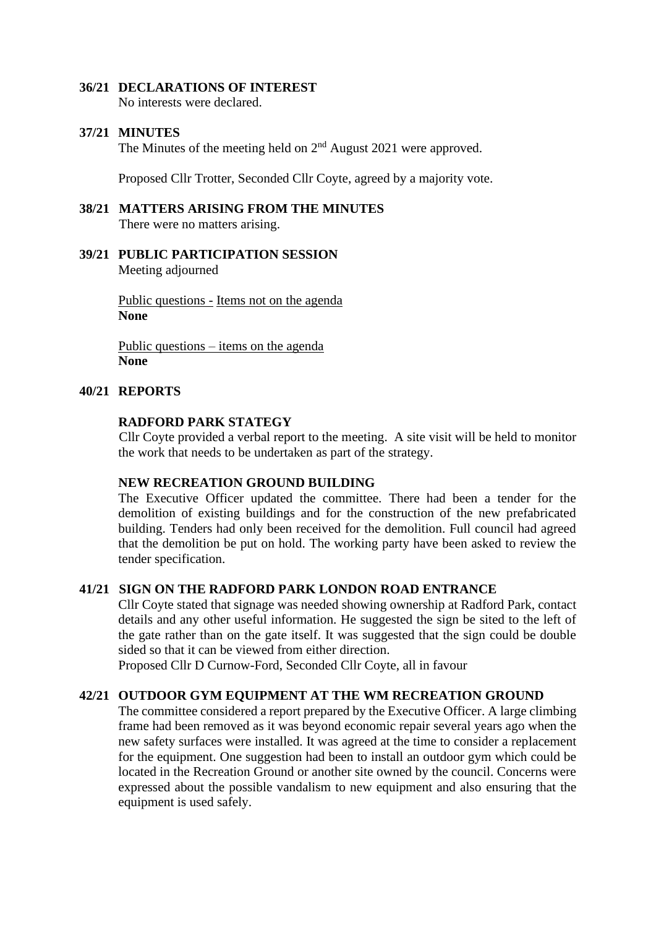#### **36/21 DECLARATIONS OF INTEREST**

No interests were declared.

#### **37/21 MINUTES**

The Minutes of the meeting held on  $2<sup>nd</sup>$  August 2021 were approved.

Proposed Cllr Trotter, Seconded Cllr Coyte, agreed by a majority vote.

#### **38/21 MATTERS ARISING FROM THE MINUTES** There were no matters arising.

#### **39/21 PUBLIC PARTICIPATION SESSION** Meeting adjourned

Public questions - Items not on the agenda **None**

Public questions – items on the agenda **None**

#### **40/21 REPORTS**

#### **RADFORD PARK STATEGY**

Cllr Coyte provided a verbal report to the meeting. A site visit will be held to monitor the work that needs to be undertaken as part of the strategy.

#### **NEW RECREATION GROUND BUILDING**

The Executive Officer updated the committee. There had been a tender for the demolition of existing buildings and for the construction of the new prefabricated building. Tenders had only been received for the demolition. Full council had agreed that the demolition be put on hold. The working party have been asked to review the tender specification.

#### **41/21 SIGN ON THE RADFORD PARK LONDON ROAD ENTRANCE**

Cllr Coyte stated that signage was needed showing ownership at Radford Park, contact details and any other useful information. He suggested the sign be sited to the left of the gate rather than on the gate itself. It was suggested that the sign could be double sided so that it can be viewed from either direction.

Proposed Cllr D Curnow-Ford, Seconded Cllr Coyte, all in favour

#### **42/21 OUTDOOR GYM EQUIPMENT AT THE WM RECREATION GROUND**

The committee considered a report prepared by the Executive Officer. A large climbing frame had been removed as it was beyond economic repair several years ago when the new safety surfaces were installed. It was agreed at the time to consider a replacement for the equipment. One suggestion had been to install an outdoor gym which could be located in the Recreation Ground or another site owned by the council. Concerns were expressed about the possible vandalism to new equipment and also ensuring that the equipment is used safely.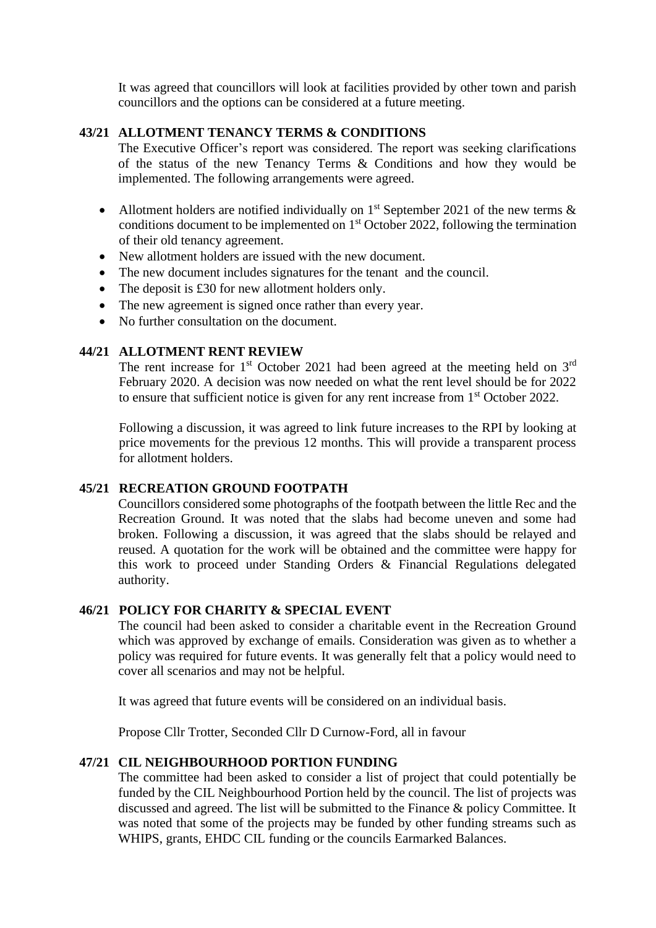It was agreed that councillors will look at facilities provided by other town and parish councillors and the options can be considered at a future meeting.

#### **43/21 ALLOTMENT TENANCY TERMS & CONDITIONS**

The Executive Officer's report was considered. The report was seeking clarifications of the status of the new Tenancy Terms & Conditions and how they would be implemented. The following arrangements were agreed.

- Allotment holders are notified individually on  $1<sup>st</sup>$  September 2021 of the new terms  $\&$ conditions document to be implemented on 1st October 2022, following the termination of their old tenancy agreement.
- New allotment holders are issued with the new document.
- The new document includes signatures for the tenant and the council.
- The deposit is £30 for new allotment holders only.
- The new agreement is signed once rather than every year.
- No further consultation on the document.

#### **44/21 ALLOTMENT RENT REVIEW**

The rent increase for  $1<sup>st</sup>$  October 2021 had been agreed at the meeting held on  $3<sup>rd</sup>$ February 2020. A decision was now needed on what the rent level should be for 2022 to ensure that sufficient notice is given for any rent increase from 1<sup>st</sup> October 2022.

Following a discussion, it was agreed to link future increases to the RPI by looking at price movements for the previous 12 months. This will provide a transparent process for allotment holders.

#### **45/21 RECREATION GROUND FOOTPATH**

Councillors considered some photographs of the footpath between the little Rec and the Recreation Ground. It was noted that the slabs had become uneven and some had broken. Following a discussion, it was agreed that the slabs should be relayed and reused. A quotation for the work will be obtained and the committee were happy for this work to proceed under Standing Orders & Financial Regulations delegated authority.

#### **46/21 POLICY FOR CHARITY & SPECIAL EVENT**

The council had been asked to consider a charitable event in the Recreation Ground which was approved by exchange of emails. Consideration was given as to whether a policy was required for future events. It was generally felt that a policy would need to cover all scenarios and may not be helpful.

It was agreed that future events will be considered on an individual basis.

Propose Cllr Trotter, Seconded Cllr D Curnow-Ford, all in favour

#### **47/21 CIL NEIGHBOURHOOD PORTION FUNDING**

The committee had been asked to consider a list of project that could potentially be funded by the CIL Neighbourhood Portion held by the council. The list of projects was discussed and agreed. The list will be submitted to the Finance & policy Committee. It was noted that some of the projects may be funded by other funding streams such as WHIPS, grants, EHDC CIL funding or the councils Earmarked Balances.